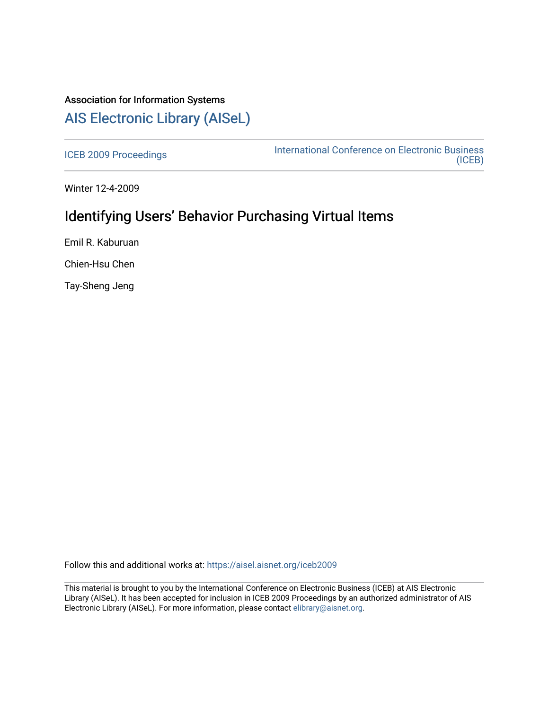# Association for Information Systems [AIS Electronic Library \(AISeL\)](https://aisel.aisnet.org/)

[ICEB 2009 Proceedings](https://aisel.aisnet.org/iceb2009) **International Conference on Electronic Business** [\(ICEB\)](https://aisel.aisnet.org/iceb) 

Winter 12-4-2009

# Identifying Users' Behavior Purchasing Virtual Items

Emil R. Kaburuan

Chien-Hsu Chen

Tay-Sheng Jeng

Follow this and additional works at: [https://aisel.aisnet.org/iceb2009](https://aisel.aisnet.org/iceb2009?utm_source=aisel.aisnet.org%2Ficeb2009%2F20&utm_medium=PDF&utm_campaign=PDFCoverPages)

This material is brought to you by the International Conference on Electronic Business (ICEB) at AIS Electronic Library (AISeL). It has been accepted for inclusion in ICEB 2009 Proceedings by an authorized administrator of AIS Electronic Library (AISeL). For more information, please contact [elibrary@aisnet.org.](mailto:elibrary@aisnet.org%3E)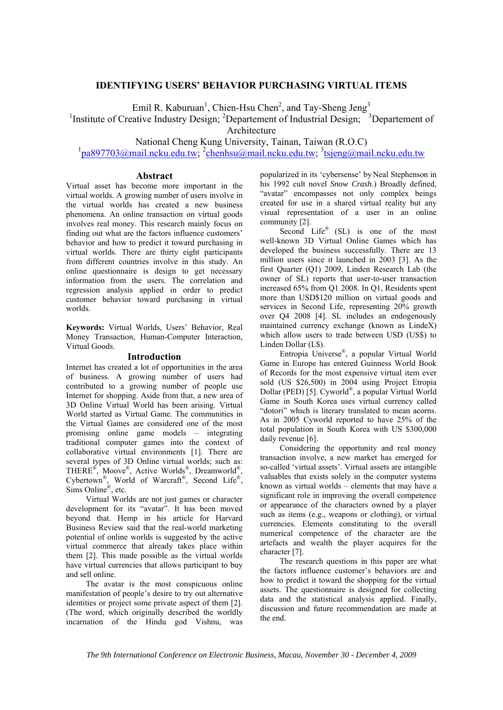# **IDENTIFYING USERS' BEHAVIOR PURCHASING VIRTUAL ITEMS**

Emil R. Kaburuan<sup>1</sup>, Chien-Hsu Chen<sup>2</sup>, and Tay-Sheng Jeng<sup>3</sup>

<sup>1</sup>Institute of Creative Industry Design; <sup>2</sup>Departement of Industrial Design; <sup>3</sup>Departement of

Architecture

National Cheng Kung University, Tainan, Taiwan (R.O.C)

<sup>1</sup>pa897703@mail.ncku.edu.tw; <sup>2</sup>chenhsu@mail.ncku.edu.tw; <sup>3</sup>tsjeng@mail.ncku.edu.tw

## **Abstract**

Virtual asset has become more important in the virtual worlds. A growing number of users involve in the virtual worlds has created a new business phenomena. An online transaction on virtual goods involves real money. This research mainly focus on finding out what are the factors influence customers' behavior and how to predict it toward purchasing in virtual worlds. There are thirty eight participants from different countries involve in this study. An online questionnaire is design to get necessary information from the users. The correlation and regression analysis applied in order to predict customer behavior toward purchasing in virtual worlds.

**Keywords:** Virtual Worlds, Users' Behavior, Real Money Transaction, Human-Computer Interaction, Virtual Goods.

#### **Introduction**

Internet has created a lot of opportunities in the area of business. A growing number of users had contributed to a growing number of people use Internet for shopping. Aside from that, a new area of 3D Online Virtual World has been arising. Virtual World started as Virtual Game. The communities in the Virtual Games are considered one of the most promising online game models – integrating traditional computer games into the context of collaborative virtual environments [1]. There are several types of 3D Online virtual worlds; such as: THERE®, Moove®, Active Worlds®, Dreamworld®, Cybertown®, World of Warcraft®, Second Life®, Sims Online<sup>®</sup>, etc.

Virtual Worlds are not just games or character development for its "avatar". It has been moved beyond that. Hemp in his article for Harvard Business Review said that the real-world marketing potential of online worlds is suggested by the active virtual commerce that already takes place within them [2]. This made possible as the virtual worlds have virtual currencies that allows participant to buy and sell online.

The avatar is the most conspicuous online manifestation of people's desire to try out alternative identities or project some private aspect of them [2]. (The word, which originally described the worldly incarnation of the Hindu god Vishnu, was

popularized in its 'cybersense' by Neal Stephenson in his 1992 cult novel *Snow Crash.*) Broadly defined, "avatar" encompasses not only complex beings created for use in a shared virtual reality but any visual representation of a user in an online community [2].

Second Life<sup>®</sup> (SL) is one of the most well-known 3D Virtual Online Games which has developed the business successfully. There are 13 million users since it launched in 2003 [3]. As the first Quarter (Q1) 2009, Linden Research Lab (the owner of SL) reports that user-to-user transaction increased 65% from Q1 2008. In Q1, Residents spent more than USD\$120 million on virtual goods and services in Second Life, representing 20% growth over Q4 2008 [4]. SL includes an endogenously maintained currency exchange (known as LindeX) which allow users to trade between USD (US\$) to Linden Dollar (L\$).

Entropia Universe®, a popular Virtual World Game in Europe has entered Guinness World Book of Records for the most expensive virtual item ever sold (US \$26,500) in 2004 using Project Etropia Dollar (PED) [5]. Cyworld®, a popular Virtual World Game in South Korea uses virtual currency called "dotori" which is literary translated to mean acorns. As in 2005 Cyworld reported to have 25% of the total population in South Korea with US \$300,000 daily revenue [6].

Considering the opportunity and real money transaction involve, a new market has emerged for so-called 'virtual assets'. Virtual assets are intangible valuables that exists solely in the computer systems known as virtual worlds – elements that may have a significant role in improving the overall competence or appearance of the characters owned by a player such as items (e.g., weapons or clothing), or virtual currencies. Elements constituting to the overall numerical competence of the character are the artefacts and wealth the player acquires for the character [7].

The research questions in this paper are what the factors influence customer's behaviors are and how to predict it toward the shopping for the virtual assets. The questionnaire is designed for collecting data and the statistical analysis applied. Finally, discussion and future recommendation are made at the end.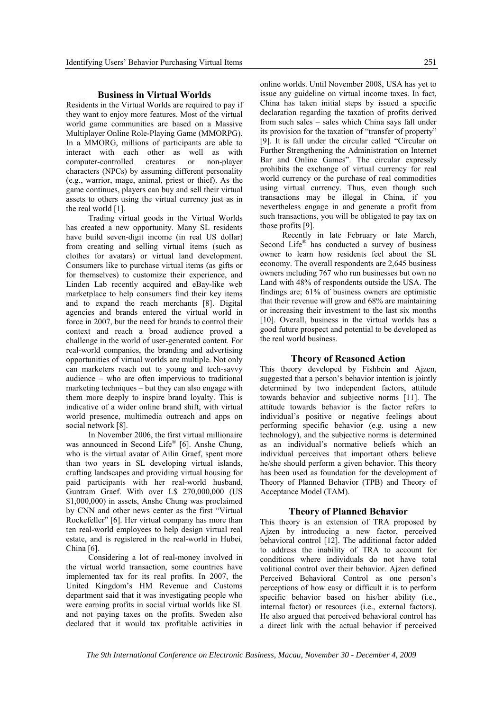# **Business in Virtual Worlds**

Residents in the Virtual Worlds are required to pay if they want to enjoy more features. Most of the virtual world game communities are based on a Massive Multiplayer Online Role-Playing Game (MMORPG). In a MMORG, millions of participants are able to interact with each other as well as with<br>computer-controlled creatures or non-player computer-controlled creatures or non-player characters (NPCs) by assuming different personality (e.g., warrior, mage, animal, priest or thief). As the game continues, players can buy and sell their virtual assets to others using the virtual currency just as in the real world [1].

Trading virtual goods in the Virtual Worlds has created a new opportunity. Many SL residents have build seven-digit income (in real US dollar) from creating and selling virtual items (such as clothes for avatars) or virtual land development. Consumers like to purchase virtual items (as gifts or for themselves) to customize their experience, and Linden Lab recently acquired and eBay-like web marketplace to help consumers find their key items and to expand the reach merchants [8]. Digital agencies and brands entered the virtual world in force in 2007, but the need for brands to control their context and reach a broad audience proved a challenge in the world of user-generated content. For real-world companies, the branding and advertising opportunities of virtual worlds are multiple. Not only can marketers reach out to young and tech-savvy audience – who are often impervious to traditional marketing techniques – but they can also engage with them more deeply to inspire brand loyalty. This is indicative of a wider online brand shift, with virtual world presence, multimedia outreach and apps on social network [8].

In November 2006, the first virtual millionaire was announced in Second Life<sup>®</sup> [6]. Anshe Chung, who is the virtual avatar of Ailin Graef, spent more than two years in SL developing virtual islands, crafting landscapes and providing virtual housing for paid participants with her real-world husband, Guntram Graef. With over L\$ 270,000,000 (US \$1,000,000) in assets, Anshe Chung was proclaimed by CNN and other news center as the first "Virtual Rockefeller" [6]. Her virtual company has more than ten real-world employees to help design virtual real estate, and is registered in the real-world in Hubei, China [6].

Considering a lot of real-money involved in the virtual world transaction, some countries have implemented tax for its real profits. In 2007, the United Kingdom's HM Revenue and Customs department said that it was investigating people who were earning profits in social virtual worlds like SL and not paying taxes on the profits. Sweden also declared that it would tax profitable activities in online worlds. Until November 2008, USA has yet to issue any guideline on virtual income taxes. In fact, China has taken initial steps by issued a specific declaration regarding the taxation of profits derived from such sales – sales which China says fall under its provision for the taxation of "transfer of property" [9]. It is fall under the circular called "Circular on Further Strengthening the Administration on Internet Bar and Online Games". The circular expressly prohibits the exchange of virtual currency for real world currency or the purchase of real commodities using virtual currency. Thus, even though such transactions may be illegal in China, if you nevertheless engage in and generate a profit from such transactions, you will be obligated to pay tax on those profits [9].

Recently in late February or late March, Second Life<sup>®</sup> has conducted a survey of business owner to learn how residents feel about the SL economy. The overall respondents are 2,645 business owners including 767 who run businesses but own no Land with 48% of respondents outside the USA. The findings are; 61% of business owners are optimistic that their revenue will grow and 68% are maintaining or increasing their investment to the last six months [10]. Overall, business in the virtual worlds has a good future prospect and potential to be developed as the real world business.

#### **Theory of Reasoned Action**

This theory developed by Fishbein and Ajzen, suggested that a person's behavior intention is jointly determined by two independent factors, attitude towards behavior and subjective norms [11]. The attitude towards behavior is the factor refers to individual's positive or negative feelings about performing specific behavior (e.g. using a new technology), and the subjective norms is determined as an individual's normative beliefs which an individual perceives that important others believe he/she should perform a given behavior. This theory has been used as foundation for the development of Theory of Planned Behavior (TPB) and Theory of Acceptance Model (TAM).

### **Theory of Planned Behavior**

This theory is an extension of TRA proposed by Ajzen by introducing a new factor, perceived behavioral control [12]. The additional factor added to address the inability of TRA to account for conditions where individuals do not have total volitional control over their behavior. Ajzen defined Perceived Behavioral Control as one person's perceptions of how easy or difficult it is to perform specific behavior based on his/her ability (i.e., internal factor) or resources (i.e., external factors). He also argued that perceived behavioral control has a direct link with the actual behavior if perceived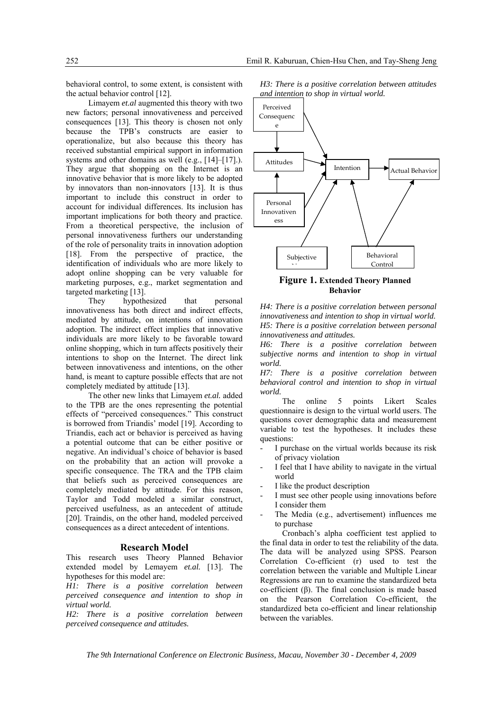behavioral control, to some extent, is consistent with the actual behavior control [12].

Limayem *et.al* augmented this theory with two new factors; personal innovativeness and perceived consequences [13]. This theory is chosen not only because the TPB's constructs are easier to operationalize, but also because this theory has received substantial empirical support in information systems and other domains as well (e.g., [14]–[17].). They argue that shopping on the Internet is an innovative behavior that is more likely to be adopted by innovators than non-innovators [13]. It is thus important to include this construct in order to account for individual differences. Its inclusion has important implications for both theory and practice. From a theoretical perspective, the inclusion of personal innovativeness furthers our understanding of the role of personality traits in innovation adoption [18]. From the perspective of practice, the identification of individuals who are more likely to adopt online shopping can be very valuable for marketing purposes, e.g., market segmentation and targeted marketing [13].

They hypothesized that personal innovativeness has both direct and indirect effects, mediated by attitude, on intentions of innovation adoption. The indirect effect implies that innovative individuals are more likely to be favorable toward online shopping, which in turn affects positively their intentions to shop on the Internet. The direct link between innovativeness and intentions, on the other hand, is meant to capture possible effects that are not completely mediated by attitude [13].

The other new links that Limayem *et.al.* added to the TPB are the ones representing the potential effects of "perceived consequences." This construct is borrowed from Triandis' model [19]. According to Triandis, each act or behavior is perceived as having a potential outcome that can be either positive or negative. An individual's choice of behavior is based on the probability that an action will provoke a specific consequence. The TRA and the TPB claim that beliefs such as perceived consequences are completely mediated by attitude. For this reason, Taylor and Todd modeled a similar construct, perceived usefulness, as an antecedent of attitude [20]. Traindis, on the other hand, modeled perceived consequences as a direct antecedent of intentions.

#### **Research Model**

This research uses Theory Planned Behavior extended model by Lemayem *et.al.* [13]. The hypotheses for this model are:

*H1: There is a positive correlation between perceived consequence and intention to shop in virtual world.* 

*H2: There is a positive correlation between perceived consequence and attitudes.* 





**Figure 1. Extended Theory Planned Behavior** 

*H4: There is a positive correlation between personal innovativeness and intention to shop in virtual world. H5: There is a positive correlation between personal innovativeness and attitudes.* 

*H6: There is a positive correlation between subjective norms and intention to shop in virtual world.* 

*H7: There is a positive correlation between behavioral control and intention to shop in virtual world.* 

The online 5 points Likert Scales questionnaire is design to the virtual world users. The questions cover demographic data and measurement variable to test the hypotheses. It includes these questions:

- I purchase on the virtual worlds because its risk of privacy violation
- I feel that I have ability to navigate in the virtual world
- I like the product description
- I must see other people using innovations before I consider them
- The Media (e.g., advertisement) influences me to purchase

Cronbach's alpha coefficient test applied to the final data in order to test the reliability of the data. The data will be analyzed using SPSS. Pearson Correlation Co-efficient (r) used to test the correlation between the variable and Multiple Linear Regressions are run to examine the standardized beta co-efficient (β). The final conclusion is made based on the Pearson Correlation Co-efficient, the standardized beta co-efficient and linear relationship between the variables.

*The 9th International Conference on Electronic Business, Macau, November 30 - December 4, 2009*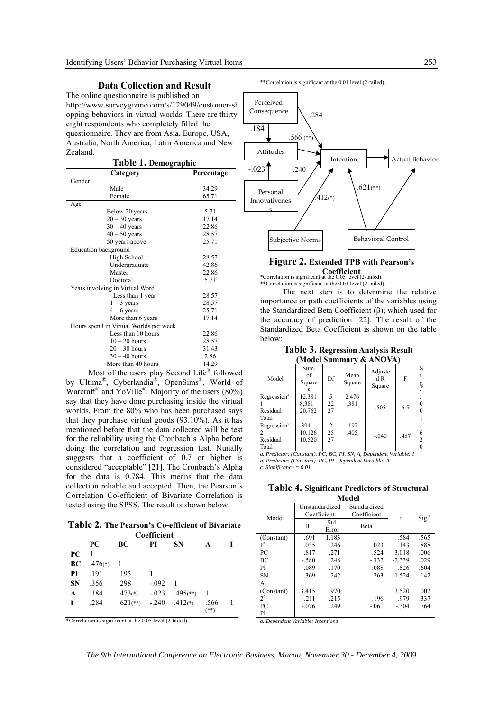#### **Data Collection and Result**

The online questionnaire is published on http://www.surveygizmo.com/s/129049/customer-sh opping-behaviors-in-virtual-worlds. There are thirty eight respondents who completely filled the questionnaire. They are from Asia, Europe, USA, Australia, North America, Latin America and New Zealand.

#### **Table 1. Demographic**

| Category                               | Percentage |  |  |  |  |
|----------------------------------------|------------|--|--|--|--|
| Gender                                 |            |  |  |  |  |
| Male                                   | 34.29      |  |  |  |  |
| Female                                 | 65.71      |  |  |  |  |
| Age                                    |            |  |  |  |  |
| Below 20 years                         | 5.71       |  |  |  |  |
| $20 - 30$ years                        | 17.14      |  |  |  |  |
| $30 - 40$ years                        | 22.86      |  |  |  |  |
| $40 - 50$ years                        | 28.57      |  |  |  |  |
| 50 years above                         | 25.71      |  |  |  |  |
| Education background                   |            |  |  |  |  |
| High School                            | 28.57      |  |  |  |  |
| Undergraduate                          | 42.86      |  |  |  |  |
| Master                                 | 22.86      |  |  |  |  |
| Doctoral                               | 5.71       |  |  |  |  |
| Years involving in Virtual Word        |            |  |  |  |  |
| Less than 1 year                       | 28.57      |  |  |  |  |
| $1 - 3$ years                          | 28.57      |  |  |  |  |
| $4 - 6$ years                          | 25.71      |  |  |  |  |
| More than 6 years                      | 17.14      |  |  |  |  |
| Hours spend in Virtual Worlds per week |            |  |  |  |  |
| Less than 10 hours                     | 22.86      |  |  |  |  |
| $10 - 20$ hours                        | 28.57      |  |  |  |  |
| $20 - 30$ hours                        | 31.43      |  |  |  |  |
| $30 - 40$ hours                        | 2.86       |  |  |  |  |
| More than 40 hours                     | 14.29      |  |  |  |  |

Most of the users play Second Life® followed by Ultima®, Cyberlandia®, OpenSims®, World of Warcraft® and YoVille®. Majority of the users (80%) say that they have done purchasing inside the virtual worlds. From the 80% who has been purchased says that they purchase virtual goods (93.10%). As it has mentioned before that the data collected will be test for the reliability using the Cronbach's Alpha before doing the correlation and regression test. Nunally suggests that a coefficient of 0.7 or higher is considered "acceptable" [21]. The Cronbach's Alpha for the data is 0.784. This means that the data collection reliable and accepted. Then, the Pearson's Correlation Co-efficient of Bivariate Correlation is tested using the SPSS. The result is shown below.

**Table 2. The Pearson's Co-efficient of Bivariate Coefficient**

| www.ne |                |        |             |                                                             |        |  |
|--------|----------------|--------|-------------|-------------------------------------------------------------|--------|--|
|        | PС             | BC     | PI          | <b>SN</b>                                                   |        |  |
| PC     | $\sim$ 1       |        |             |                                                             |        |  |
| BC     | $.476(*)$ 1    |        |             |                                                             |        |  |
|        | <b>PI</b> .191 | $-195$ |             |                                                             |        |  |
| SN.    | .356           | .298   | $-.092 \ 1$ |                                                             |        |  |
| A      | .184           |        |             | $.473(*)$ $-.023$ $.495(*)$ 1                               |        |  |
| L      | .284           |        |             | $.621$ <sup>**</sup> ) $-.240$ $.412$ <sup>*</sup> ) $.566$ |        |  |
|        |                |        |             |                                                             | $(**)$ |  |

\*Correlation is significant at the 0.05 level (2-tailed).

\*\*Correlation is significant at the 0.01 level (2-tailed).



# **Figure 2. Extended TPB with Pearson's**

**Coefficient**<br>\*Correlation is significant at the 0.05 level (2-tailed).

\*\*Correlation is significant at the 0.01 level (2-tailed).

The next step is to determine the relative importance or path coefficients of the variables using the Standardized Beta Coefficient (β); which used for the accuracy of prediction [22]. The result of the Standardized Beta Coefficient is shown on the table below:

**Table 3. Regression Analysis Result (Model Summary & ANOVA)** 

| --------                                     |                           |               |                |                         |      |                            |  |
|----------------------------------------------|---------------------------|---------------|----------------|-------------------------|------|----------------------------|--|
| Model                                        | Sum.<br>of<br>Square<br>s | Df            | Mean<br>Square | Adjuste<br>dR<br>Square | F    | S<br>$\mathsf{g}_\text{c}$ |  |
| Regression <sup>a</sup><br>Residual<br>Total | 12.381<br>8,381<br>20.762 | 5<br>22<br>27 | 2.476<br>.381  | .505                    | 6.5  | 0                          |  |
| Regression <sup>b</sup><br>Residual<br>Total | .394<br>10.126<br>10.520  | 2<br>25<br>27 | .197<br>.405   | $-.040$                 | .487 | 6                          |  |

*a. Predictor: (Constant). PC, BC, PI, SN, A, Dependent Variable: I* 

*b. Predictor: (Constant). PC, PI, Dependent Variable: A c. Significance = 0.01* 

**Table 4. Significant Predictors of Structural Model** 

|             | Unstandardized<br>Coefficient |               | Standardized<br>Coefficient |          |                  |  |
|-------------|-------------------------------|---------------|-----------------------------|----------|------------------|--|
| Model       | B                             | Std.<br>Error | Beta                        |          | Sig <sup>c</sup> |  |
| (Constant)  | .691                          | 1.183         |                             | .584     | .565             |  |
|             | .035                          | .246          | .023                        | .143     | .888             |  |
| PC          | .817                          | .271          | .524                        | 3.018    | .006             |  |
| ВC          | $-.580$                       | .248          | $-332$                      | $-2.339$ | .029             |  |
| PI          | .089                          | .170          | .088                        | .526     | .604             |  |
| <b>SN</b>   | .369                          | .242          | .263                        | 1.524    | .142             |  |
| A           |                               |               |                             |          |                  |  |
| (Constant)  | 3.415                         | .970          |                             | 3.520    | .002             |  |
| $2^{\rm b}$ | .211                          | .215          | .196                        | .979     | .337             |  |
| PC          | $-.076$                       | .249          | $-.061$                     | $-.304$  | .764             |  |
| РI          |                               |               |                             |          |                  |  |

*a. Dependent Variable: Intentions*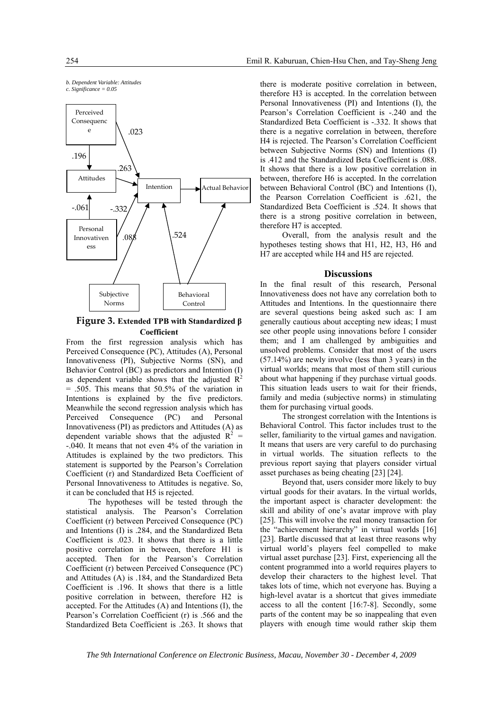## *b. Dependent Variable: Attitudes*



# **Figure 3. Extended TPB with Standardized β Coefficient**

From the first regression analysis which has Perceived Consequence (PC), Attitudes (A), Personal Innovativeness (PI), Subjective Norms (SN), and Behavior Control (BC) as predictors and Intention (I) as dependent variable shows that the adjusted  $R^2$ = .505. This means that 50.5% of the variation in Intentions is explained by the five predictors. Meanwhile the second regression analysis which has Perceived Consequence (PC) and Personal Innovativeness (PI) as predictors and Attitudes (A) as dependent variable shows that the adjusted  $R^2$  = -.040. It means that not even 4% of the variation in Attitudes is explained by the two predictors. This statement is supported by the Pearson's Correlation Coefficient (r) and Standardized Beta Coefficient of Personal Innovativeness to Attitudes is negative. So, it can be concluded that H5 is rejected.

The hypotheses will be tested through the statistical analysis. The Pearson's Correlation Coefficient (r) between Perceived Consequence (PC) and Intentions (I) is .284, and the Standardized Beta Coefficient is .023. It shows that there is a little positive correlation in between, therefore H1 is accepted. Then for the Pearson's Correlation Coefficient (r) between Perceived Consequence (PC) and Attitudes (A) is .184, and the Standardized Beta Coefficient is .196. It shows that there is a little positive correlation in between, therefore H2 is accepted. For the Attitudes (A) and Intentions (I), the Pearson's Correlation Coefficient (r) is .566 and the Standardized Beta Coefficient is .263. It shows that there is moderate positive correlation in between, therefore H3 is accepted. In the correlation between Personal Innovativeness (PI) and Intentions (I), the Pearson's Correlation Coefficient is -.240 and the Standardized Beta Coefficient is -.332. It shows that there is a negative correlation in between, therefore H4 is rejected. The Pearson's Correlation Coefficient between Subjective Norms (SN) and Intentions (I) is .412 and the Standardized Beta Coefficient is .088. It shows that there is a low positive correlation in between, therefore H6 is accepted. In the correlation between Behavioral Control (BC) and Intentions (I), the Pearson Correlation Coefficient is .621, the Standardized Beta Coefficient is .524. It shows that there is a strong positive correlation in between, therefore H7 is accepted.

Overall, from the analysis result and the hypotheses testing shows that H1, H2, H3, H6 and H7 are accepted while H4 and H5 are rejected.

#### **Discussions**

In the final result of this research, Personal Innovativeness does not have any correlation both to Attitudes and Intentions. In the questionnaire there are several questions being asked such as: I am generally cautious about accepting new ideas; I must see other people using innovations before I consider them; and I am challenged by ambiguities and unsolved problems. Consider that most of the users (57.14%) are newly involve (less than 3 years) in the virtual worlds; means that most of them still curious about what happening if they purchase virtual goods. This situation leads users to wait for their friends, family and media (subjective norms) in stimulating them for purchasing virtual goods.

The strongest correlation with the Intentions is Behavioral Control. This factor includes trust to the seller, familiarity to the virtual games and navigation. It means that users are very careful to do purchasing in virtual worlds. The situation reflects to the previous report saying that players consider virtual asset purchases as being cheating [23] [24].

Beyond that, users consider more likely to buy virtual goods for their avatars. In the virtual worlds, the important aspect is character development: the skill and ability of one's avatar improve with play [25]. This will involve the real money transaction for the "achievement hierarchy" in virtual worlds [16] [23]. Bartle discussed that at least three reasons why virtual world's players feel compelled to make virtual asset purchase [23]. First, experiencing all the content programmed into a world requires players to develop their characters to the highest level. That takes lots of time, which not everyone has. Buying a high-level avatar is a shortcut that gives immediate access to all the content [16:7-8]. Secondly, some parts of the content may be so inappealing that even players with enough time would rather skip them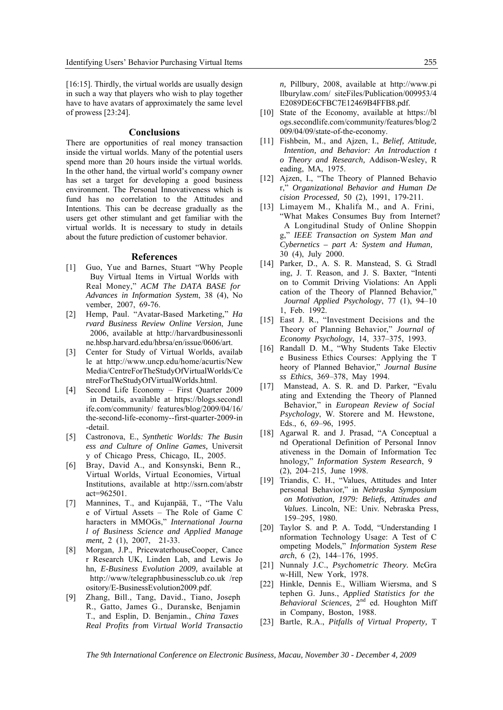[16:15]. Thirdly, the virtual worlds are usually design in such a way that players who wish to play together have to have avatars of approximately the same level of prowess [23:24].

#### **Conclusions**

There are opportunities of real money transaction inside the virtual worlds. Many of the potential users spend more than 20 hours inside the virtual worlds. In the other hand, the virtual world's company owner has set a target for developing a good business environment. The Personal Innovativeness which is fund has no correlation to the Attitudes and Intentions. This can be decrease gradually as the users get other stimulant and get familiar with the virtual worlds. It is necessary to study in details about the future prediction of customer behavior.

#### **References**

- [1] Guo, Yue and Barnes, Stuart "Why People Buy Virtual Items in Virtual Worlds with Real Money," *ACM The DATA BASE for Advances in Information System*, 38 (4), No vember, 2007, 69-76.
- [2] Hemp, Paul. "Avatar-Based Marketing," *Ha rvard Business Review Online Version*, June 2006, available at http://harvardbusinessonli ne.hbsp.harvard.edu/hbrsa/en/issue/0606/art.
- [3] Center for Study of Virtual Worlds, availab le at http://www.uncp.edu/home/acurtis/New Media/CentreForTheStudyOfVirtualWorlds/Ce ntreForTheStudyOfVirtualWorlds.html.
- [4] Second Life Economy First Quarter 2009 in Details, available at https://blogs.secondl ife.com/community/ features/blog/2009/04/16/ the-second-life-economy--first-quarter-2009-in -detail.
- [5] Castronova, E., *Synthetic Worlds: The Busin ess and Culture of Online Games,* Universit y of Chicago Press, Chicago, IL, 2005.
- [6] Bray, David A., and Konsynski, Benn R., Virtual Worlds, Virtual Economies, Virtual Institutions, available at http://ssrn.com/abstr act=962501.
- [7] Mannines, T., and Kujanpää, T., "The Valu e of Virtual Assets – The Role of Game C haracters in MMOGs," *International Journa l of Business Science and Applied Manage ment,* 2 (1), 2007, 21-33.
- [8] Morgan, J.P., PricewaterhouseCooper, Cance r Research UK, Linden Lab, and Lewis Jo hn, *E-Business Evolution 2009,* available at http://www/telegraphbusinessclub.co.uk /rep ository/E-BusinessEvolution2009.pdf.
- [9] Zhang, Bill., Tang, David., Tiano, Joseph R., Gatto, James G., Duranske, Benjamin T., and Esplin, D. Benjamin., *China Taxes Real Profits from Virtual World Transactio*

*n,* Pillbury, 2008, available at http://www.pi llburylaw.com/ siteFiles/Publication/009953/4 E2089DE6CFBC7E12469B4FFB8.pdf.

- [10] State of the Economy, available at https://bl ogs.secondlife.com/community/features/blog/2 009/04/09/state-of-the-economy.
- [11] Fishbein, M., and Ajzen, I., *Belief, Attitude, Intention, and Behavior: An Introduction t o Theory and Research,* Addison-Wesley, R eading, MA, 1975.
- [12] Ajzen, I., "The Theory of Planned Behavio r," *Organizational Behavior and Human De cision Processed,* 50 (2), 1991, 179-211.
- [13] Limayem M., Khalifa M., and A. Frini, "What Makes Consumes Buy from Internet? A Longitudinal Study of Online Shoppin g," *IEEE Transaction on System Man and Cybernetics – part A: System and Human,*  30 (4), July 2000.
- [14] Parker, D., A. S. R. Manstead, S. G. Stradl ing, J. T. Reason, and J. S. Baxter, "Intenti on to Commit Driving Violations: An Appli cation of the Theory of Planned Behavior," *Journal Applied Psychology*, 77 (1), 94–10 1, Feb. 1992.
- [15] East J. R., "Investment Decisions and the Theory of Planning Behavior," *Journal of Economy Psychology*, 14, 337–375, 1993.
- [16] Randall D. M., "Why Students Take Electiv e Business Ethics Courses: Applying the T heory of Planned Behavior," *Journal Busine ss Ethics*, 369–378, May 1994.
- [17] Manstead, A. S. R. and D. Parker, "Evalu ating and Extending the Theory of Planned Behavior," in *European Review of Social Psychology*, W. Storere and M. Hewstone, Eds., 6, 69–96, 1995.
- [18] Agarwal R. and J. Prasad, "A Conceptual a nd Operational Definition of Personal Innov ativeness in the Domain of Information Tec hnology," *Information System Research*, 9 (2), 204–215, June 1998.
- [19] Triandis, C. H., "Values, Attitudes and Inter personal Behavior," in *Nebraska Symposium on Motivation, 1979: Beliefs, Attitudes and Values*. Lincoln, NE: Univ. Nebraska Press, 159–295, 1980.
- [20] Taylor S. and P. A. Todd, "Understanding I nformation Technology Usage: A Test of C ompeting Models," *Information System Rese arch*, 6 (2), 144–176, 1995.
- [21] Nunnaly J.C., *Psychometric Theory.* McGra w-Hill, New York, 1978.
- [22] Hinkle, Dennis E., William Wiersma, and S tephen G. Juns., *Applied Statistics for the Behavioral Sciences,* 2nd ed. Houghton Miff in Company, Boston, 1988.
- [23] Bartle, R.A., *Pitfalls of Virtual Property,* T